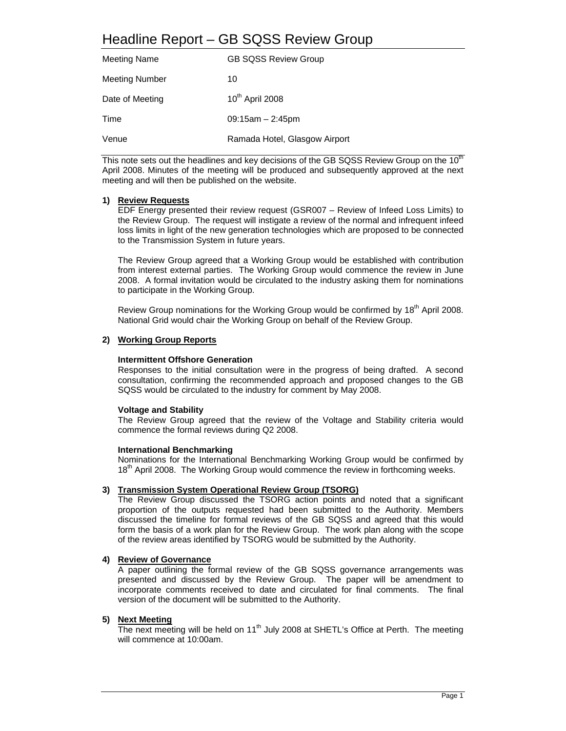# Headline Report – GB SQSS Review Group

| <b>Meeting Name</b>   | <b>GB SQSS Review Group</b>   |
|-----------------------|-------------------------------|
| <b>Meeting Number</b> | 10                            |
| Date of Meeting       | 10 <sup>th</sup> April 2008   |
| Time                  | $09:15am - 2:45pm$            |
| Venue                 | Ramada Hotel, Glasgow Airport |

This note sets out the headlines and key decisions of the GB SQSS Review Group on the 10<sup>th</sup> April 2008. Minutes of the meeting will be produced and subsequently approved at the next meeting and will then be published on the website.

### **1) Review Requests**

EDF Energy presented their review request (GSR007 – Review of Infeed Loss Limits) to the Review Group. The request will instigate a review of the normal and infrequent infeed loss limits in light of the new generation technologies which are proposed to be connected to the Transmission System in future years.

The Review Group agreed that a Working Group would be established with contribution from interest external parties. The Working Group would commence the review in June 2008. A formal invitation would be circulated to the industry asking them for nominations to participate in the Working Group.

Review Group nominations for the Working Group would be confirmed by 18<sup>th</sup> April 2008. National Grid would chair the Working Group on behalf of the Review Group.

#### **2) Working Group Reports**

#### **Intermittent Offshore Generation**

Responses to the initial consultation were in the progress of being drafted. A second consultation, confirming the recommended approach and proposed changes to the GB SQSS would be circulated to the industry for comment by May 2008.

#### **Voltage and Stability**

The Review Group agreed that the review of the Voltage and Stability criteria would commence the formal reviews during Q2 2008.

#### **International Benchmarking**

Nominations for the International Benchmarking Working Group would be confirmed by 18<sup>th</sup> April 2008. The Working Group would commence the review in forthcoming weeks.

# **3) Transmission System Operational Review Group (TSORG)**

The Review Group discussed the TSORG action points and noted that a significant proportion of the outputs requested had been submitted to the Authority. Members discussed the timeline for formal reviews of the GB SQSS and agreed that this would form the basis of a work plan for the Review Group. The work plan along with the scope of the review areas identified by TSORG would be submitted by the Authority.

#### **4) Review of Governance**

 A paper outlining the formal review of the GB SQSS governance arrangements was presented and discussed by the Review Group. The paper will be amendment to incorporate comments received to date and circulated for final comments. The final version of the document will be submitted to the Authority.

#### **5) Next Meeting**

The next meeting will be held on  $11<sup>th</sup>$  July 2008 at SHETL's Office at Perth. The meeting will commence at 10:00am.